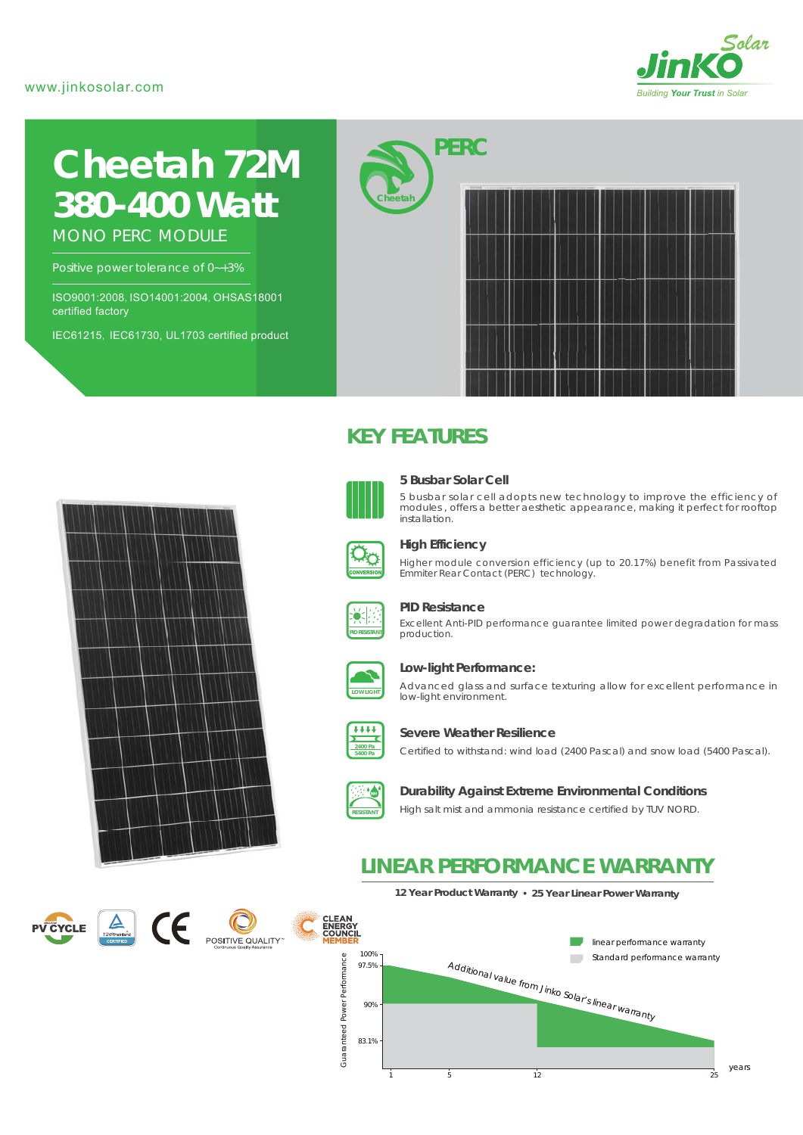#### www.jinkosolar.com



# **Cheetah 72M** *380-400 Watt*

MONO PERC MODULE

Positive power tolerance of 0~+3%

ISO9001:2008, ISO14001:2004, OHSAS18001 certified factory

IEC61215, IEC61730, UL1703 certified product



### **KEY FEATURES**



#### **5 Busbar Solar Cell**

5 busbar solar cell adopts new technology to improve the efficiency of modules , offers a better aesthetic appearance, making it perfect for rooftop installation.



#### **High Efficiency**

Higher module conversion efficiency (up to 20.17%) benefit from Passivated Emmiter Rear Contact (PERC) technology.



#### **PID Resistance**

Excellent Anti-PID performance guarantee limited power degradation for mass production.



#### **Low-light Performance:**

Advanced glass and surface texturing allow for excellent performance in low-light environment.



#### **Severe Weather Resilience**

Certified to withstand: wind load (2400 Pascal) and snow load (5400 Pascal).



#### **Durability Against Extreme Environmental Conditions**

High salt mist and ammonia resistance certified by TUV NORD.

### **LINEAR PERFORMANCE WARRANTY**







### **12 Year Product Warranty 25 Year Linear Power Warranty**